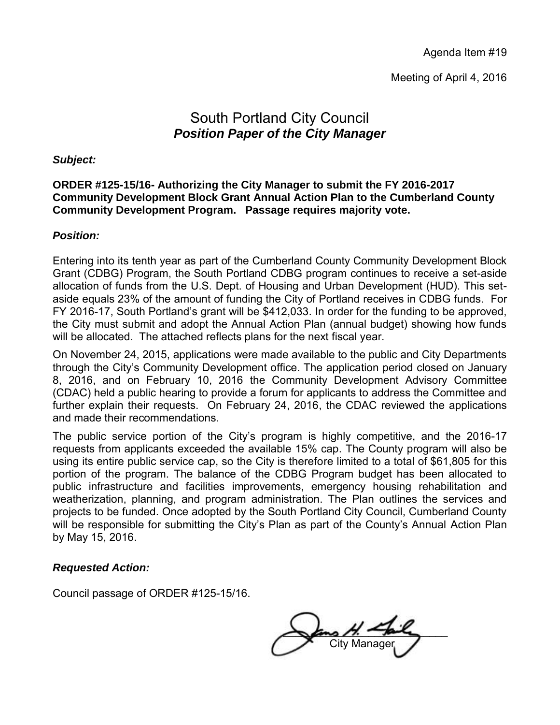Agenda Item #19

Meeting of April 4, 2016

## South Portland City Council *Position Paper of the City Manager*

#### *Subject:*

#### **ORDER #125-15/16- Authorizing the City Manager to submit the FY 2016-2017 Community Development Block Grant Annual Action Plan to the Cumberland County Community Development Program. Passage requires majority vote.**

#### *Position:*

Entering into its tenth year as part of the Cumberland County Community Development Block Grant (CDBG) Program, the South Portland CDBG program continues to receive a set-aside allocation of funds from the U.S. Dept. of Housing and Urban Development (HUD). This setaside equals 23% of the amount of funding the City of Portland receives in CDBG funds. For FY 2016-17, South Portland's grant will be \$412,033. In order for the funding to be approved, the City must submit and adopt the Annual Action Plan (annual budget) showing how funds will be allocated. The attached reflects plans for the next fiscal year.

On November 24, 2015, applications were made available to the public and City Departments through the City's Community Development office. The application period closed on January 8, 2016, and on February 10, 2016 the Community Development Advisory Committee (CDAC) held a public hearing to provide a forum for applicants to address the Committee and further explain their requests. On February 24, 2016, the CDAC reviewed the applications and made their recommendations.

The public service portion of the City's program is highly competitive, and the 2016-17 requests from applicants exceeded the available 15% cap. The County program will also be using its entire public service cap, so the City is therefore limited to a total of \$61,805 for this portion of the program. The balance of the CDBG Program budget has been allocated to public infrastructure and facilities improvements, emergency housing rehabilitation and weatherization, planning, and program administration. The Plan outlines the services and projects to be funded. Once adopted by the South Portland City Council, Cumberland County will be responsible for submitting the City's Plan as part of the County's Annual Action Plan by May 15, 2016.

#### *Requested Action:*

Council passage of ORDER #125-15/16.

 $\overline{\phantom{a}}$  ans  $\overline{\phantom{a}}$  that **City Manager**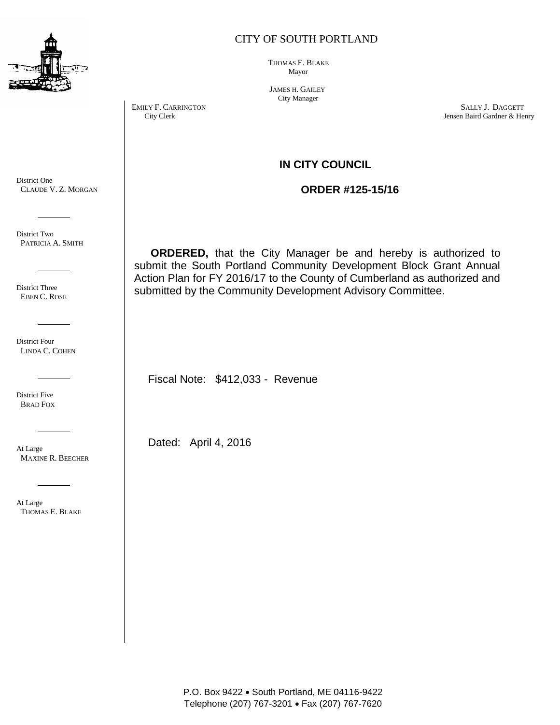

#### CITY OF SOUTH PORTLAND

 THOMAS E. BLAKE Mayor

 JAMES H. GAILEY City Manager

EMILY F. CARRINGTON SALLY J. DAGGETT City Clerk Services of the Carlos City Clerk Service of the Service of the Service of the Service of the Service of the Service of the Service of the Service of the Service of the Servi Jensen Baird Gardner & Henry

#### **IN CITY COUNCIL**

 **ORDER #125-15/16**

**ORDERED,** that the City Manager be and hereby is authorized to submit the South Portland Community Development Block Grant Annual Action Plan for FY 2016/17 to the County of Cumberland as authorized and submitted by the Community Development Advisory Committee.

Fiscal Note: \$412,033 - Revenue

Dated: April 4, 2016

P.O. Box 9422 . South Portland, ME 04116-9422 Telephone (207) 767-3201 Fax (207) 767-7620

District One CLAUDE V. Z. MORGAN

District Two PATRICIA A. SMITH

District Three EBEN C. ROSE

District Four LINDA C. COHEN

District Five BRAD FOX

At Large MAXINE R. BEECHER

At Large THOMAS E. BLAKE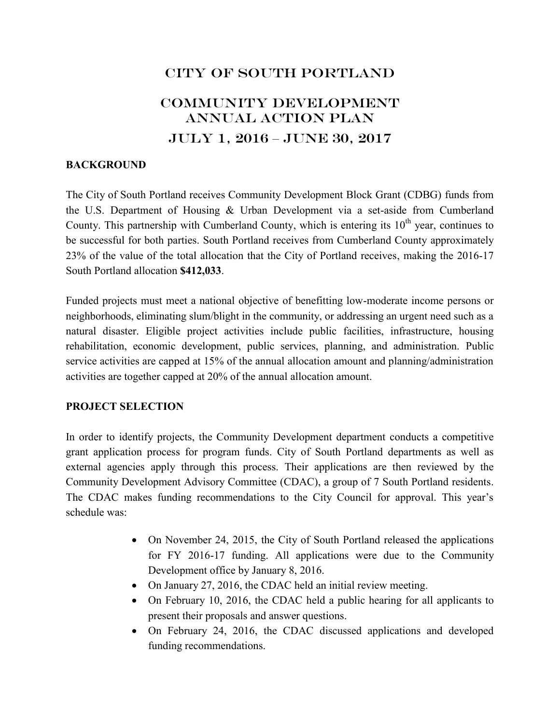# CITY OF SOUTH PORTLAND

# Community Development ANNUAL ACTION PLAN JULY 1, 2016 – JUNE 30, 2017

#### **BACKGROUND**

The City of South Portland receives Community Development Block Grant (CDBG) funds from the U.S. Department of Housing & Urban Development via a set-aside from Cumberland County. This partnership with Cumberland County, which is entering its  $10^{th}$  year, continues to be successful for both parties. South Portland receives from Cumberland County approximately 23% of the value of the total allocation that the City of Portland receives, making the 2016-17 South Portland allocation **\$412,033**.

Funded projects must meet a national objective of benefitting low-moderate income persons or neighborhoods, eliminating slum/blight in the community, or addressing an urgent need such as a natural disaster. Eligible project activities include public facilities, infrastructure, housing rehabilitation, economic development, public services, planning, and administration. Public service activities are capped at 15% of the annual allocation amount and planning/administration activities are together capped at 20% of the annual allocation amount.

#### **PROJECT SELECTION**

In order to identify projects, the Community Development department conducts a competitive grant application process for program funds. City of South Portland departments as well as external agencies apply through this process. Their applications are then reviewed by the Community Development Advisory Committee (CDAC), a group of 7 South Portland residents. The CDAC makes funding recommendations to the City Council for approval. This year's schedule was:

- On November 24, 2015, the City of South Portland released the applications for FY 2016-17 funding. All applications were due to the Community Development office by January 8, 2016.
- On January 27, 2016, the CDAC held an initial review meeting.
- On February 10, 2016, the CDAC held a public hearing for all applicants to present their proposals and answer questions.
- On February 24, 2016, the CDAC discussed applications and developed funding recommendations.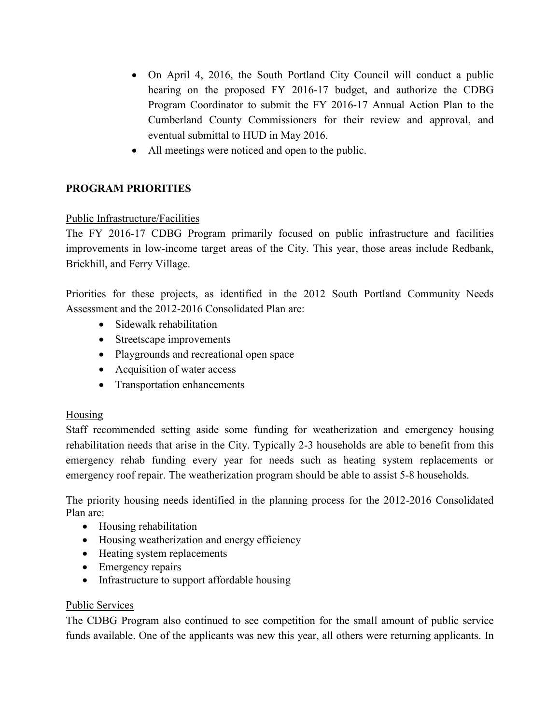- On April 4, 2016, the South Portland City Council will conduct a public hearing on the proposed FY 2016-17 budget, and authorize the CDBG Program Coordinator to submit the FY 2016-17 Annual Action Plan to the Cumberland County Commissioners for their review and approval, and eventual submittal to HUD in May 2016.
- All meetings were noticed and open to the public.

#### **PROGRAM PRIORITIES**

#### Public Infrastructure/Facilities

The FY 2016-17 CDBG Program primarily focused on public infrastructure and facilities improvements in low-income target areas of the City. This year, those areas include Redbank, Brickhill, and Ferry Village.

Priorities for these projects, as identified in the 2012 South Portland Community Needs Assessment and the 2012-2016 Consolidated Plan are:

- Sidewalk rehabilitation
- Streetscape improvements
- Playgrounds and recreational open space
- Acquisition of water access
- Transportation enhancements

#### Housing

Staff recommended setting aside some funding for weatherization and emergency housing rehabilitation needs that arise in the City. Typically 2-3 households are able to benefit from this emergency rehab funding every year for needs such as heating system replacements or emergency roof repair. The weatherization program should be able to assist 5-8 households.

The priority housing needs identified in the planning process for the 2012-2016 Consolidated Plan are:

- Housing rehabilitation
- Housing weatherization and energy efficiency
- Heating system replacements
- Emergency repairs
- Infrastructure to support affordable housing

#### Public Services

The CDBG Program also continued to see competition for the small amount of public service funds available. One of the applicants was new this year, all others were returning applicants. In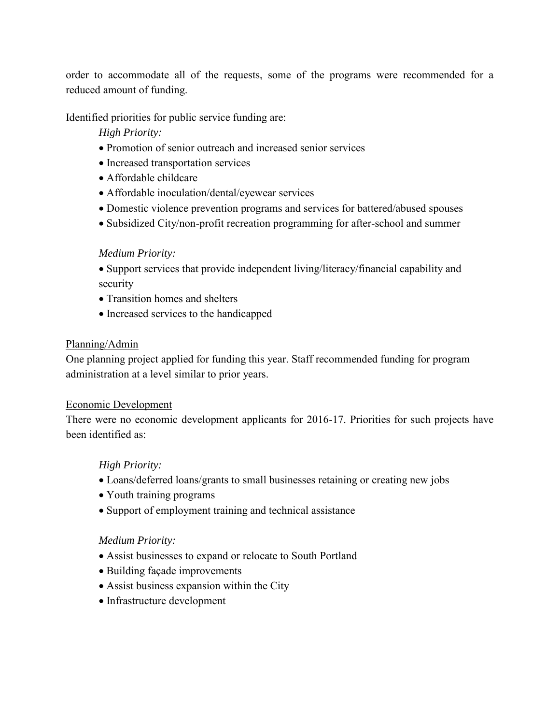order to accommodate all of the requests, some of the programs were recommended for a reduced amount of funding.

Identified priorities for public service funding are:

*High Priority:* 

- Promotion of senior outreach and increased senior services
- Increased transportation services
- Affordable childcare
- Affordable inoculation/dental/eyewear services
- Domestic violence prevention programs and services for battered/abused spouses
- Subsidized City/non-profit recreation programming for after-school and summer

#### *Medium Priority:*

 Support services that provide independent living/literacy/financial capability and security

- Transition homes and shelters
- Increased services to the handicapped

#### Planning/Admin

One planning project applied for funding this year. Staff recommended funding for program administration at a level similar to prior years.

#### Economic Development

There were no economic development applicants for 2016-17. Priorities for such projects have been identified as:

#### *High Priority:*

- Loans/deferred loans/grants to small businesses retaining or creating new jobs
- Youth training programs
- Support of employment training and technical assistance

#### *Medium Priority:*

- Assist businesses to expand or relocate to South Portland
- Building façade improvements
- Assist business expansion within the City
- Infrastructure development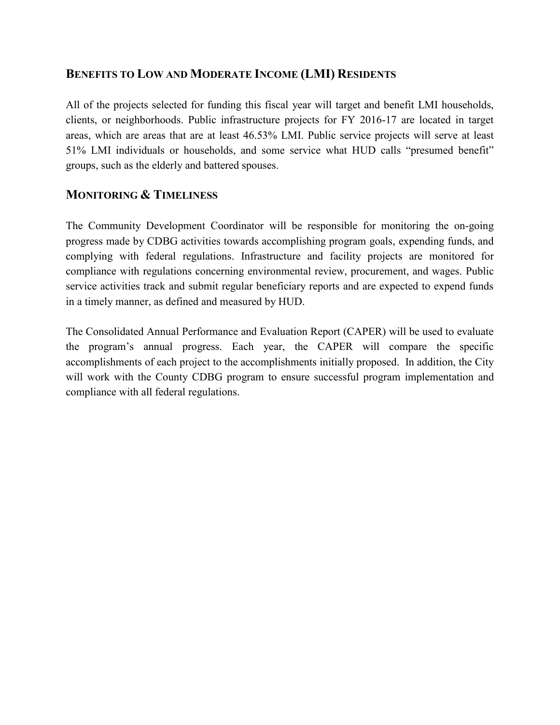### **BENEFITS TO LOW AND MODERATE INCOME (LMI) RESIDENTS**

All of the projects selected for funding this fiscal year will target and benefit LMI households, clients, or neighborhoods. Public infrastructure projects for FY 2016-17 are located in target areas, which are areas that are at least 46.53% LMI. Public service projects will serve at least 51% LMI individuals or households, and some service what HUD calls "presumed benefit" groups, such as the elderly and battered spouses.

### **MONITORING & TIMELINESS**

The Community Development Coordinator will be responsible for monitoring the on-going progress made by CDBG activities towards accomplishing program goals, expending funds, and complying with federal regulations. Infrastructure and facility projects are monitored for compliance with regulations concerning environmental review, procurement, and wages. Public service activities track and submit regular beneficiary reports and are expected to expend funds in a timely manner, as defined and measured by HUD.

The Consolidated Annual Performance and Evaluation Report (CAPER) will be used to evaluate the program's annual progress. Each year, the CAPER will compare the specific accomplishments of each project to the accomplishments initially proposed. In addition, the City will work with the County CDBG program to ensure successful program implementation and compliance with all federal regulations.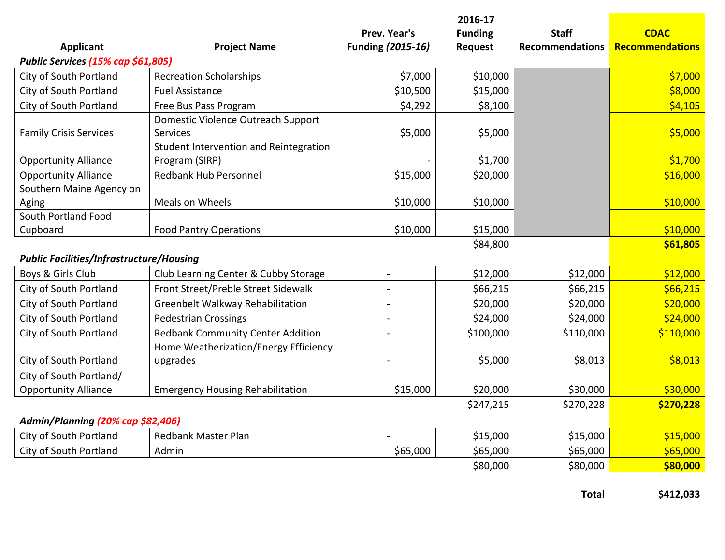|                                                 |                                          |                          | 2016-17        |                        |                        |
|-------------------------------------------------|------------------------------------------|--------------------------|----------------|------------------------|------------------------|
|                                                 |                                          | Prev. Year's             | <b>Funding</b> | <b>Staff</b>           | <b>CDAC</b>            |
| <b>Applicant</b>                                | <b>Project Name</b>                      | Funding (2015-16)        | <b>Request</b> | <b>Recommendations</b> | <b>Recommendations</b> |
| Public Services (15% cap \$61,805)              |                                          |                          |                |                        |                        |
| City of South Portland                          | <b>Recreation Scholarships</b>           | \$7,000                  | \$10,000       |                        | \$7,000                |
| City of South Portland                          | <b>Fuel Assistance</b>                   | \$10,500                 | \$15,000       |                        | \$8,000                |
| City of South Portland                          | Free Bus Pass Program                    | \$4,292                  | \$8,100        |                        | \$4,105                |
|                                                 | Domestic Violence Outreach Support       |                          |                |                        |                        |
| <b>Family Crisis Services</b>                   | Services                                 | \$5,000                  | \$5,000        |                        | \$5,000                |
|                                                 | Student Intervention and Reintegration   |                          |                |                        |                        |
| <b>Opportunity Alliance</b>                     | Program (SIRP)                           |                          | \$1,700        |                        | \$1,700                |
| <b>Opportunity Alliance</b>                     | <b>Redbank Hub Personnel</b>             | \$15,000                 | \$20,000       |                        | \$16,000               |
| Southern Maine Agency on                        |                                          |                          |                |                        |                        |
| Aging                                           | Meals on Wheels                          | \$10,000                 | \$10,000       |                        | \$10,000               |
| South Portland Food                             |                                          |                          |                |                        |                        |
| Cupboard                                        | <b>Food Pantry Operations</b>            | \$10,000                 | \$15,000       |                        | \$10,000               |
|                                                 |                                          |                          | \$84,800       |                        | \$61,805               |
| <b>Public Facilities/Infrastructure/Housing</b> |                                          |                          |                |                        |                        |
| Boys & Girls Club                               | Club Learning Center & Cubby Storage     | $\overline{a}$           | \$12,000       | \$12,000               | \$12,000               |
| City of South Portland                          | Front Street/Preble Street Sidewalk      | $\overline{\phantom{a}}$ | \$66,215       | \$66,215               | \$66,215               |
| City of South Portland                          | Greenbelt Walkway Rehabilitation         |                          | \$20,000       | \$20,000               | \$20,000               |
| City of South Portland                          | <b>Pedestrian Crossings</b>              | $\overline{\phantom{a}}$ | \$24,000       | \$24,000               | \$24,000               |
| City of South Portland                          | <b>Redbank Community Center Addition</b> |                          | \$100,000      | \$110,000              | \$110,000              |
|                                                 | Home Weatherization/Energy Efficiency    |                          |                |                        |                        |
| City of South Portland                          | upgrades                                 |                          | \$5,000        | \$8,013                | \$8,013                |
| City of South Portland/                         |                                          |                          |                |                        |                        |
| <b>Opportunity Alliance</b>                     | <b>Emergency Housing Rehabilitation</b>  | \$15,000                 | \$20,000       | \$30,000               | \$30,000               |
|                                                 |                                          |                          | \$247,215      | \$270,228              | \$270,228              |
| Admin/Planning (20% cap \$82,406)               |                                          |                          |                |                        |                        |
| City of South Portland                          | Redbank Master Plan                      | $\blacksquare$           | \$15,000       | \$15,000               | \$15,000               |
| City of South Portland                          | Admin                                    | \$65,000                 | \$65,000       | \$65,000               | \$65,000               |
|                                                 |                                          |                          | \$80,000       | \$80,000               | \$80,000               |

**Total \$412,033**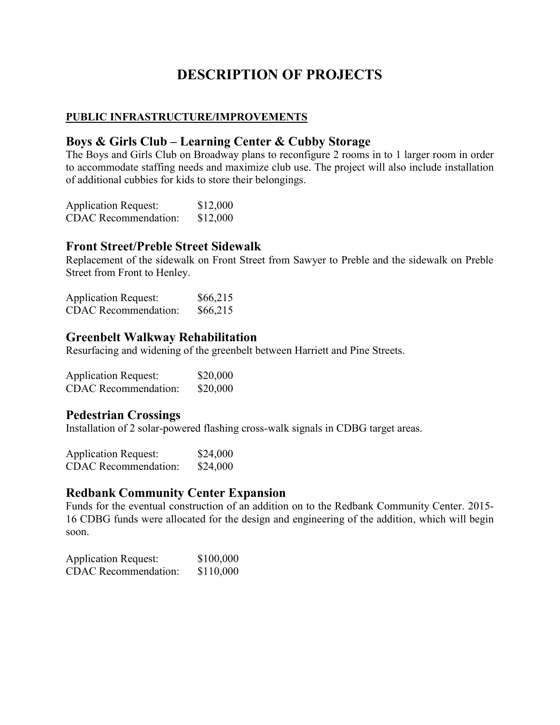# **DESCRIPTION OF PROJECTS**

### **PUBLIC INFRASTRUCTURE/IMPROVEMENTS**

### **Boys & Girls Club – Learning Center & Cubby Storage**

The Boys and Girls Club on Broadway plans to reconfigure 2 rooms in to 1 larger room in order to accommodate staffing needs and maximize club use. The project will also include installation of additional cubbies for kids to store their belongings.

| <b>Application Request:</b> | \$12,000 |
|-----------------------------|----------|
| <b>CDAC</b> Recommendation: | \$12,000 |

### **Front Street/Preble Street Sidewalk**

Replacement of the sidewalk on Front Street from Sawyer to Preble and the sidewalk on Preble Street from Front to Henley.

| <b>Application Request:</b> | \$66,215 |
|-----------------------------|----------|
| <b>CDAC</b> Recommendation: | \$66,215 |

### **Greenbelt Walkway Rehabilitation**

Resurfacing and widening of the greenbelt between Harriett and Pine Streets.

| <b>Application Request:</b> | \$20,000 |
|-----------------------------|----------|
| <b>CDAC</b> Recommendation: | \$20,000 |

### **Pedestrian Crossings**

Installation of 2 solar-powered flashing cross-walk signals in CDBG target areas.

| <b>Application Request:</b> | \$24,000 |
|-----------------------------|----------|
| <b>CDAC</b> Recommendation: | \$24,000 |

### **Redbank Community Center Expansion**

Funds for the eventual construction of an addition on to the Redbank Community Center. 2015- 16 CDBG funds were allocated for the design and engineering of the addition, which will begin soon.

| <b>Application Request:</b> | \$100,000 |
|-----------------------------|-----------|
| <b>CDAC</b> Recommendation: | \$110,000 |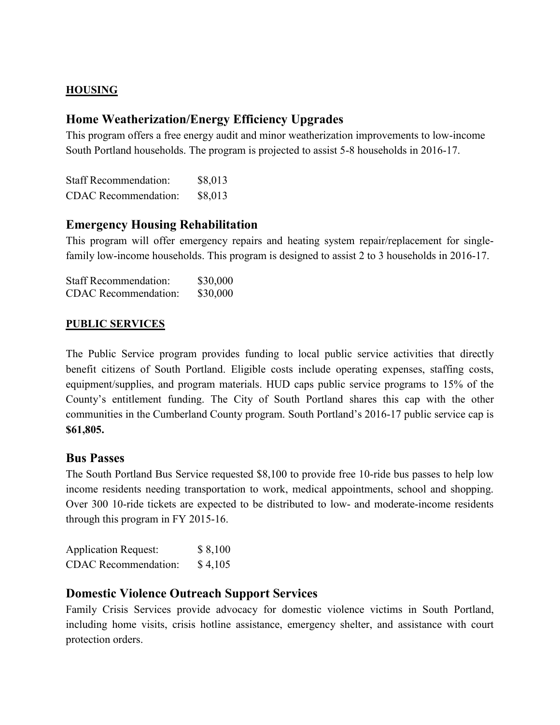#### **HOUSING**

### **Home Weatherization/Energy Efficiency Upgrades**

This program offers a free energy audit and minor weatherization improvements to low-income South Portland households. The program is projected to assist 5-8 households in 2016-17.

Staff Recommendation: \$8,013 CDAC Recommendation: \$8,013

### **Emergency Housing Rehabilitation**

This program will offer emergency repairs and heating system repair/replacement for singlefamily low-income households. This program is designed to assist 2 to 3 households in 2016-17.

| <b>Staff Recommendation:</b> | \$30,000 |
|------------------------------|----------|
| <b>CDAC</b> Recommendation:  | \$30,000 |

#### **PUBLIC SERVICES**

The Public Service program provides funding to local public service activities that directly benefit citizens of South Portland. Eligible costs include operating expenses, staffing costs, equipment/supplies, and program materials. HUD caps public service programs to 15% of the County's entitlement funding. The City of South Portland shares this cap with the other communities in the Cumberland County program. South Portland's 2016-17 public service cap is **\$61,805.**

### **Bus Passes**

The South Portland Bus Service requested \$8,100 to provide free 10-ride bus passes to help low income residents needing transportation to work, medical appointments, school and shopping. Over 300 10-ride tickets are expected to be distributed to low- and moderate-income residents through this program in FY 2015-16.

| <b>Application Request:</b> | \$8,100 |
|-----------------------------|---------|
| <b>CDAC</b> Recommendation: | \$4,105 |

### **Domestic Violence Outreach Support Services**

Family Crisis Services provide advocacy for domestic violence victims in South Portland, including home visits, crisis hotline assistance, emergency shelter, and assistance with court protection orders.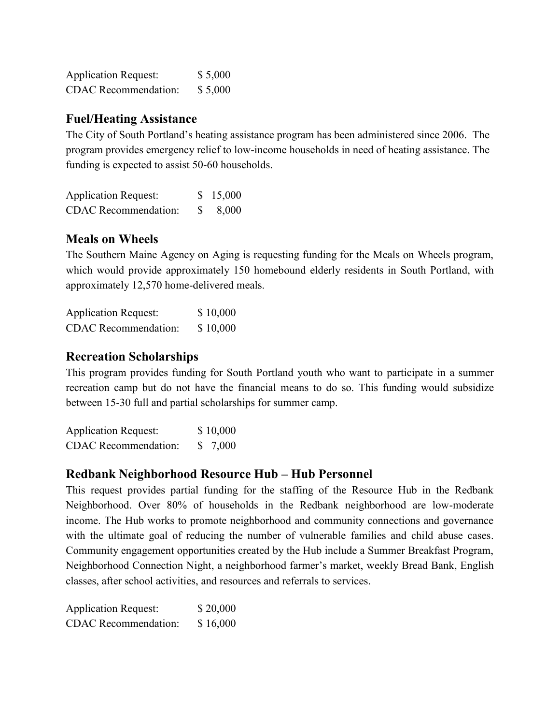| <b>Application Request:</b> | \$5,000 |
|-----------------------------|---------|
| <b>CDAC</b> Recommendation: | \$5,000 |

#### **Fuel/Heating Assistance**

The City of South Portland's heating assistance program has been administered since 2006. The program provides emergency relief to low-income households in need of heating assistance. The funding is expected to assist 50-60 households.

| <b>Application Request:</b> |              | \$15,000 |
|-----------------------------|--------------|----------|
| <b>CDAC</b> Recommendation: | <sup>S</sup> | 8,000    |

### **Meals on Wheels**

The Southern Maine Agency on Aging is requesting funding for the Meals on Wheels program, which would provide approximately 150 homebound elderly residents in South Portland, with approximately 12,570 home-delivered meals.

| <b>Application Request:</b> | \$10,000 |
|-----------------------------|----------|
| <b>CDAC</b> Recommendation: | \$10,000 |

### **Recreation Scholarships**

This program provides funding for South Portland youth who want to participate in a summer recreation camp but do not have the financial means to do so. This funding would subsidize between 15-30 full and partial scholarships for summer camp.

Application Request: \$10,000 CDAC Recommendation: \$ 7,000

### **Redbank Neighborhood Resource Hub – Hub Personnel**

This request provides partial funding for the staffing of the Resource Hub in the Redbank Neighborhood. Over 80% of households in the Redbank neighborhood are low-moderate income. The Hub works to promote neighborhood and community connections and governance with the ultimate goal of reducing the number of vulnerable families and child abuse cases. Community engagement opportunities created by the Hub include a Summer Breakfast Program, Neighborhood Connection Night, a neighborhood farmer's market, weekly Bread Bank, English classes, after school activities, and resources and referrals to services.

| <b>Application Request:</b> | \$20,000 |
|-----------------------------|----------|
| <b>CDAC</b> Recommendation: | \$16,000 |